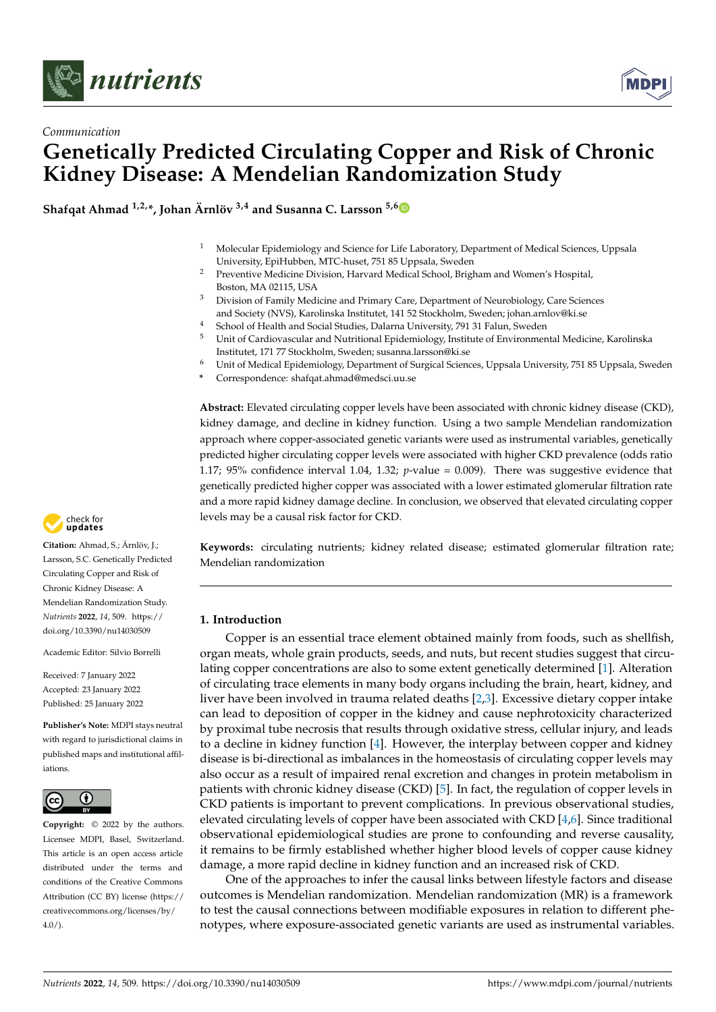



# *Communication* **Genetically Predicted Circulating Copper and Risk of Chronic Kidney Disease: A Mendelian Randomization Study**

**Shafqat Ahmad 1,2,\*, Johan Ärnlöv 3,4 and Susanna C. Larsson 5,[6](https://orcid.org/0000-0003-0118-0341)**

- <sup>1</sup> Molecular Epidemiology and Science for Life Laboratory, Department of Medical Sciences, Uppsala University, EpiHubben, MTC-huset, 751 85 Uppsala, Sweden
- <sup>2</sup> Preventive Medicine Division, Harvard Medical School, Brigham and Women's Hospital, Boston, MA 02115, USA
- <sup>3</sup> Division of Family Medicine and Primary Care, Department of Neurobiology, Care Sciences and Society (NVS), Karolinska Institutet, 141 52 Stockholm, Sweden; johan.arnlov@ki.se
- <sup>4</sup> School of Health and Social Studies, Dalarna University, 791 31 Falun, Sweden<br><sup>5</sup> Unit of Cardiovascular and Nutritional Enidemiology Institute of Environment
- <sup>5</sup> Unit of Cardiovascular and Nutritional Epidemiology, Institute of Environmental Medicine, Karolinska Institutet, 171 77 Stockholm, Sweden; susanna.larsson@ki.se
- <sup>6</sup> Unit of Medical Epidemiology, Department of Surgical Sciences, Uppsala University, 751 85 Uppsala, Sweden
- **\*** Correspondence: shafqat.ahmad@medsci.uu.se

**Abstract:** Elevated circulating copper levels have been associated with chronic kidney disease (CKD), kidney damage, and decline in kidney function. Using a two sample Mendelian randomization approach where copper-associated genetic variants were used as instrumental variables, genetically predicted higher circulating copper levels were associated with higher CKD prevalence (odds ratio 1.17; 95% confidence interval 1.04, 1.32; *p*-value = 0.009). There was suggestive evidence that genetically predicted higher copper was associated with a lower estimated glomerular filtration rate and a more rapid kidney damage decline. In conclusion, we observed that elevated circulating copper levels may be a causal risk factor for CKD.

**Keywords:** circulating nutrients; kidney related disease; estimated glomerular filtration rate; Mendelian randomization

# **1. Introduction**

Copper is an essential trace element obtained mainly from foods, such as shellfish, organ meats, whole grain products, seeds, and nuts, but recent studies suggest that circulating copper concentrations are also to some extent genetically determined [\[1\]](#page-4-0). Alteration of circulating trace elements in many body organs including the brain, heart, kidney, and liver have been involved in trauma related deaths [\[2](#page-4-1)[,3\]](#page-4-2). Excessive dietary copper intake can lead to deposition of copper in the kidney and cause nephrotoxicity characterized by proximal tube necrosis that results through oxidative stress, cellular injury, and leads to a decline in kidney function [\[4\]](#page-4-3). However, the interplay between copper and kidney disease is bi-directional as imbalances in the homeostasis of circulating copper levels may also occur as a result of impaired renal excretion and changes in protein metabolism in patients with chronic kidney disease (CKD) [\[5\]](#page-4-4). In fact, the regulation of copper levels in CKD patients is important to prevent complications. In previous observational studies, elevated circulating levels of copper have been associated with CKD [\[4](#page-4-3)[,6\]](#page-4-5). Since traditional observational epidemiological studies are prone to confounding and reverse causality, it remains to be firmly established whether higher blood levels of copper cause kidney damage, a more rapid decline in kidney function and an increased risk of CKD.

One of the approaches to infer the causal links between lifestyle factors and disease outcomes is Mendelian randomization. Mendelian randomization (MR) is a framework to test the causal connections between modifiable exposures in relation to different phenotypes, where exposure-associated genetic variants are used as instrumental variables.



**Citation:** Ahmad, S.; Ärnlöv, J.; Larsson, S.C. Genetically Predicted Circulating Copper and Risk of Chronic Kidney Disease: A Mendelian Randomization Study. *Nutrients* **2022**, *14*, 509. [https://](https://doi.org/10.3390/nu14030509) [doi.org/10.3390/nu14030509](https://doi.org/10.3390/nu14030509)

Academic Editor: Silvio Borrelli

Received: 7 January 2022 Accepted: 23 January 2022 Published: 25 January 2022

**Publisher's Note:** MDPI stays neutral with regard to jurisdictional claims in published maps and institutional affiliations.



**Copyright:** © 2022 by the authors. Licensee MDPI, Basel, Switzerland. This article is an open access article distributed under the terms and conditions of the Creative Commons Attribution (CC BY) license [\(https://](https://creativecommons.org/licenses/by/4.0/) [creativecommons.org/licenses/by/](https://creativecommons.org/licenses/by/4.0/)  $4.0/$ ).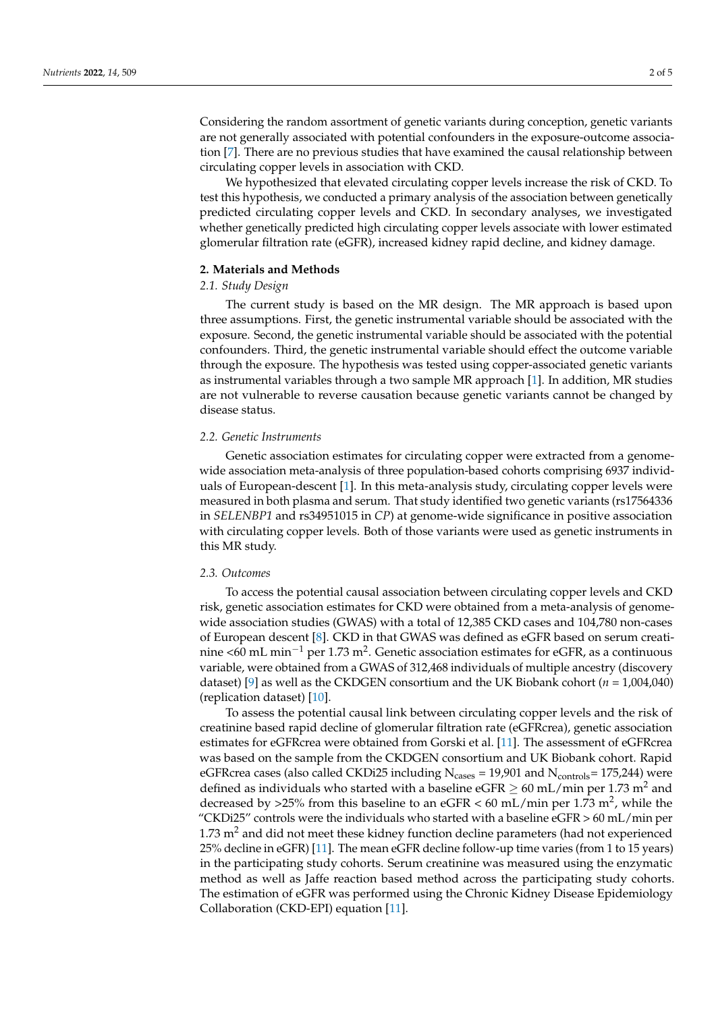Considering the random assortment of genetic variants during conception, genetic variants are not generally associated with potential confounders in the exposure-outcome association [\[7\]](#page-4-6). There are no previous studies that have examined the causal relationship between circulating copper levels in association with CKD.

We hypothesized that elevated circulating copper levels increase the risk of CKD. To test this hypothesis, we conducted a primary analysis of the association between genetically predicted circulating copper levels and CKD. In secondary analyses, we investigated whether genetically predicted high circulating copper levels associate with lower estimated glomerular filtration rate (eGFR), increased kidney rapid decline, and kidney damage.

## **2. Materials and Methods**

## *2.1. Study Design*

The current study is based on the MR design. The MR approach is based upon three assumptions. First, the genetic instrumental variable should be associated with the exposure. Second, the genetic instrumental variable should be associated with the potential confounders. Third, the genetic instrumental variable should effect the outcome variable through the exposure. The hypothesis was tested using copper-associated genetic variants as instrumental variables through a two sample MR approach [\[1\]](#page-4-0). In addition, MR studies are not vulnerable to reverse causation because genetic variants cannot be changed by disease status.

### *2.2. Genetic Instruments*

Genetic association estimates for circulating copper were extracted from a genomewide association meta-analysis of three population-based cohorts comprising 6937 individuals of European-descent [\[1\]](#page-4-0). In this meta-analysis study, circulating copper levels were measured in both plasma and serum. That study identified two genetic variants (rs17564336 in *SELENBP1* and rs34951015 in *CP*) at genome-wide significance in positive association with circulating copper levels. Both of those variants were used as genetic instruments in this MR study.

### *2.3. Outcomes*

To access the potential causal association between circulating copper levels and CKD risk, genetic association estimates for CKD were obtained from a meta-analysis of genomewide association studies (GWAS) with a total of 12,385 CKD cases and 104,780 non-cases of European descent [\[8\]](#page-4-7). CKD in that GWAS was defined as eGFR based on serum creatinine <60 mL min $^{-1}$  per 1.73 m $^2$ . Genetic association estimates for eGFR, as a continuous variable, were obtained from a GWAS of 312,468 individuals of multiple ancestry (discovery dataset) [\[9\]](#page-4-8) as well as the CKDGEN consortium and the UK Biobank cohort (*n* = 1,004,040) (replication dataset) [\[10\]](#page-4-9).

To assess the potential causal link between circulating copper levels and the risk of creatinine based rapid decline of glomerular filtration rate (eGFRcrea), genetic association estimates for eGFRcrea were obtained from Gorski et al. [\[11\]](#page-4-10). The assessment of eGFRcrea was based on the sample from the CKDGEN consortium and UK Biobank cohort. Rapid eGFRcrea cases (also called CKDi25 including  $N_{\text{cases}} = 19,901$  and  $N_{\text{controls}} = 175,244$ ) were defined as individuals who started with a baseline eGFR  $\geq 60$  mL/min per 1.73 m<sup>2</sup> and decreased by >25% from this baseline to an eGFR < 60 mL/min per 1.73 m<sup>2</sup>, while the "CKDi25" controls were the individuals who started with a baseline  $e$ GFR  $> 60$  mL/min per  $1.73$  m<sup>2</sup> and did not meet these kidney function decline parameters (had not experienced 25% decline in eGFR) [\[11\]](#page-4-10). The mean eGFR decline follow-up time varies (from 1 to 15 years) in the participating study cohorts. Serum creatinine was measured using the enzymatic method as well as Jaffe reaction based method across the participating study cohorts. The estimation of eGFR was performed using the Chronic Kidney Disease Epidemiology Collaboration (CKD-EPI) equation [\[11\]](#page-4-10).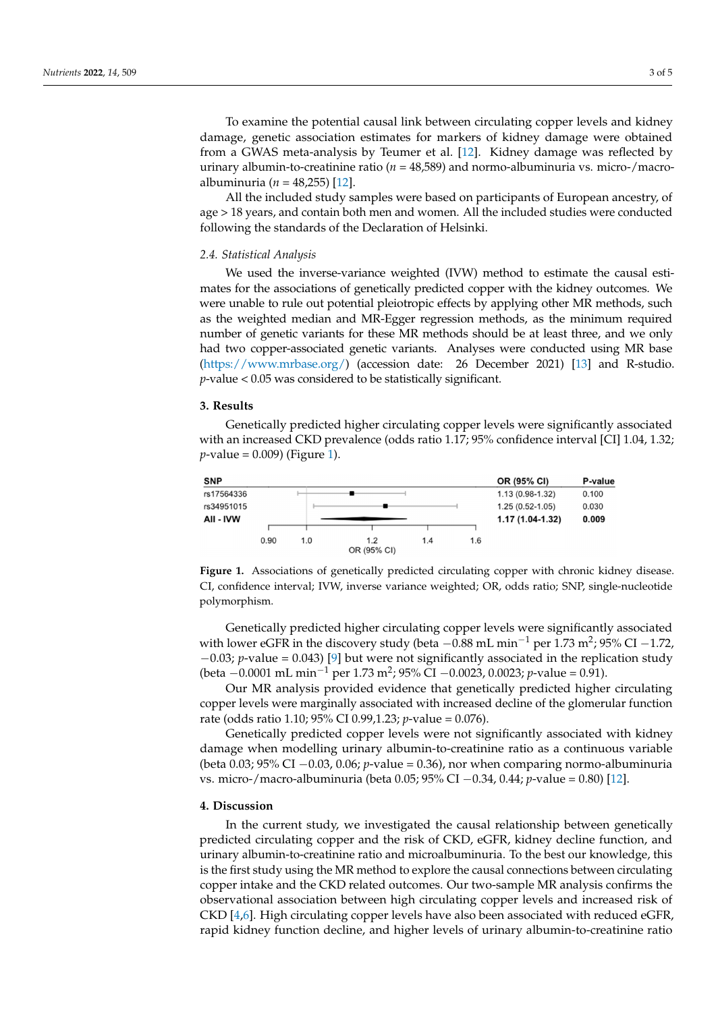To examine the potential causal link between circulating copper levels and kidney damage, genetic association estimates for markers of kidney damage were obtained from a GWAS meta-analysis by Teumer et al. [12]. Kidney damage was reflected by urinary albumin-to-creatinine ratio ( $n = 48,589$ ) and normo-albuminuria vs. micro-/macroalbuminuria ( $n = 48,255$ ) [12].

All the included study samples were based on participants of European ancestry, of age > 18 years, and contain both men and women. All the included studies were conducted following the standards of the Declaration of Helsinki.

#### *2.4. Statistical Analysis* we used the inverse-variance weight to estimate the causal estimate the causal estimate the causal estimate th

miology Collaboration (CKD-EPI) equation (CKD-EPI) equation  $\mathcal{C}_P$ 

We used the inverse-variance weighted (IVW) method to estimate the causal estimates for the associations of genetically predicted copper with the kidney outcomes. We were unable to rule out potential pleiotropic effects by applying other MR methods, such as the weighted median and MR-Egger regression methods, as the minimum required number of genetic variants for these MR methods should be at least three, and we only had two copper-associated genetic variants. Analyses were conducted using MR base  $(\text{https://www.mrbase.org/})$  (accession date: 26 December 2021) [\[13\]](#page-4-12) and R-studio. *p*-value < 0.05 was considered to be statistically significant.

# **3. Results 3. Results**

Genetically predicted higher circulating copper levels were significantly associated Genetically predicted higher circulating copper levels were significantly associated with an increased CKD prevalence (odds ratio 1.17; 95% confidence interval [CI] 1.04, 1.32; *p*-value = 0.009) (Figure [1\)](#page-2-0). *p*-value = 0.009) (Figure 1).

<span id="page-2-0"></span>

Figure 1. Associations of genetically predicted circulating copper with chronic kidney disease. CI, confidence interval; IVW, inverse variance weighted; OR, odds ratio; SNP, single-nucleotide polymorphism.

Genetically predicted higher circulating copper levels were significantly associated Genetically predicted higher circulating copper levels were significantly associated with lower eGFR in the discovery study (beta –0.88 mL min<sup>-1</sup> per 1.73 m<sup>2</sup>; 95% CI –1.72, −0.03; *p*-value = 0.043) [9] but were not significantly associated in the replication study −0.03; *p*-value = 0.043) [\[9\]](#page-4-8) but were not significantly associated in the replication study (beta −0.0001 mL min−1 per 1.73 m2; 95% CI −0.0023, 0.0023; *p*-value = 0.91). (beta −0.0001 mL min−<sup>1</sup> per 1.73 m<sup>2</sup> ; 95% CI −0.0023, 0.0023; *p*-value = 0.91).

Our MR analysis provided evidence that genetically predicted higher circulating Our MR analysis provided evidence that genetically predicted higher circulating copper levels were marginally associated with increased decline of the glomerular function tion rate (odds ratio 1.10; 95% CI 0.99,1.23; *p*-value = 0.076). rate (odds ratio 1.10; 95% CI 0.99,1.23; *p*-value = 0.076).

Genetically predicted copper levels were not significantly associated with kidney Genetically predicted copper levels were not significantly associated with kidney damage when modelling urinary albumin-to-creatinine ratio as a continuous variable damage when modelling urinary albumin-to-creatinine ratio as a continuous variable (beta 0.03; 95% CI −0.03, 0.06; *p*-value = 0.36), nor when comparing normo-albuminuria micro-/macro-albuminuria (beta 0.05; 95% CI −0.34, 0.44; *p*-value = 0.80) [12]. vs. micro-/macro-albuminuria (beta 0.05; 95% CI −0.34, 0.44; *p*-value = 0.80) [\[12\]](#page-4-11).

# **4. Discussion 4. Discussion**

In the current study, we investigated the causal relationship between genetically prepredicted circulating copper and the risk of CKD, eGFR, kidney decline function, and urinary predicted circulating copper and the risk of CKD, eGFR, kidney decline function, and albumin-to-creatinine ratio and microalbuminuria. To the best our knowledge, this is the is the first study using the MR method to explore the causal connections between circulating first study using the MR method to explore the causal connections between circulating copper intake and the CKD related outcomes. Our two-sample MR analysis confirms the urinary albumin-to-creatinine ratio and microalbuminuria. To the best our knowledge, this observational association between high circulating copper levels and increased risk of CKD  $[4,6]$  $[4,6]$ . High circulating copper levels have also been associated with reduced eGFR, rapid kidney function decline, and higher levels of urinary albumin-to-creatinine ratio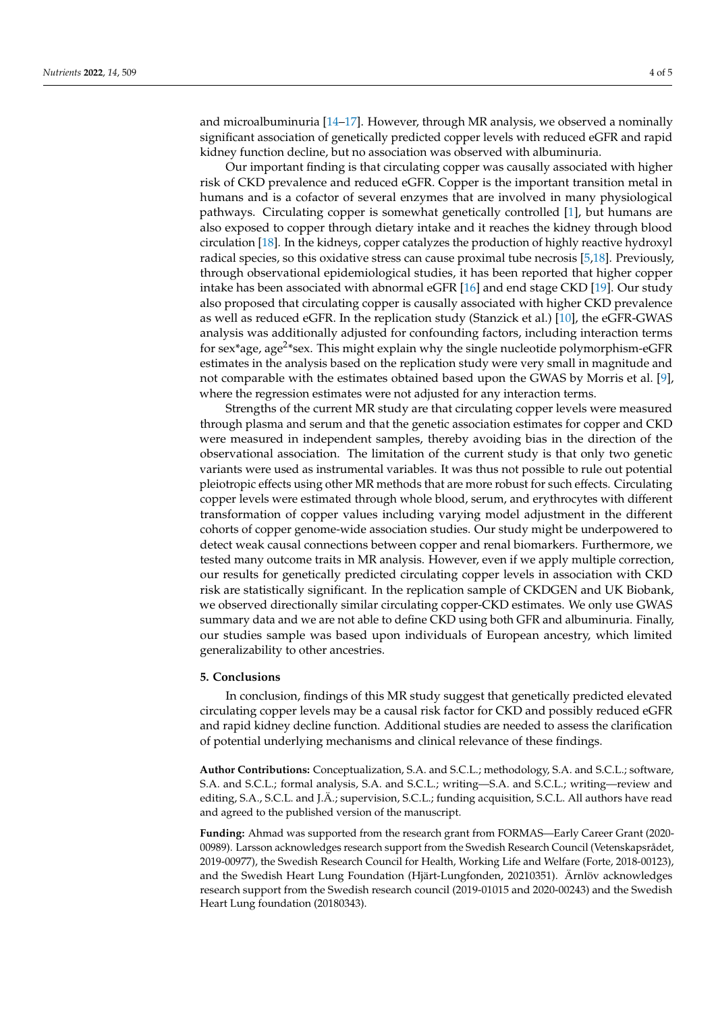and microalbuminuria [\[14–](#page-4-13)[17\]](#page-4-14). However, through MR analysis, we observed a nominally significant association of genetically predicted copper levels with reduced eGFR and rapid kidney function decline, but no association was observed with albuminuria.

Our important finding is that circulating copper was causally associated with higher risk of CKD prevalence and reduced eGFR. Copper is the important transition metal in humans and is a cofactor of several enzymes that are involved in many physiological pathways. Circulating copper is somewhat genetically controlled [\[1\]](#page-4-0), but humans are also exposed to copper through dietary intake and it reaches the kidney through blood circulation [\[18\]](#page-4-15). In the kidneys, copper catalyzes the production of highly reactive hydroxyl radical species, so this oxidative stress can cause proximal tube necrosis [\[5](#page-4-4)[,18\]](#page-4-15). Previously, through observational epidemiological studies, it has been reported that higher copper intake has been associated with abnormal eGFR [\[16\]](#page-4-16) and end stage CKD [\[19\]](#page-4-17). Our study also proposed that circulating copper is causally associated with higher CKD prevalence as well as reduced eGFR. In the replication study (Stanzick et al.) [\[10\]](#page-4-9), the eGFR-GWAS analysis was additionally adjusted for confounding factors, including interaction terms for sex\*age, age<sup>2</sup>\*sex. This might explain why the single nucleotide polymorphism-eGFR estimates in the analysis based on the replication study were very small in magnitude and not comparable with the estimates obtained based upon the GWAS by Morris et al. [\[9\]](#page-4-8), where the regression estimates were not adjusted for any interaction terms.

Strengths of the current MR study are that circulating copper levels were measured through plasma and serum and that the genetic association estimates for copper and CKD were measured in independent samples, thereby avoiding bias in the direction of the observational association. The limitation of the current study is that only two genetic variants were used as instrumental variables. It was thus not possible to rule out potential pleiotropic effects using other MR methods that are more robust for such effects. Circulating copper levels were estimated through whole blood, serum, and erythrocytes with different transformation of copper values including varying model adjustment in the different cohorts of copper genome-wide association studies. Our study might be underpowered to detect weak causal connections between copper and renal biomarkers. Furthermore, we tested many outcome traits in MR analysis. However, even if we apply multiple correction, our results for genetically predicted circulating copper levels in association with CKD risk are statistically significant. In the replication sample of CKDGEN and UK Biobank, we observed directionally similar circulating copper-CKD estimates. We only use GWAS summary data and we are not able to define CKD using both GFR and albuminuria. Finally, our studies sample was based upon individuals of European ancestry, which limited generalizability to other ancestries.

### **5. Conclusions**

In conclusion, findings of this MR study suggest that genetically predicted elevated circulating copper levels may be a causal risk factor for CKD and possibly reduced eGFR and rapid kidney decline function. Additional studies are needed to assess the clarification of potential underlying mechanisms and clinical relevance of these findings.

**Author Contributions:** Conceptualization, S.A. and S.C.L.; methodology, S.A. and S.C.L.; software, S.A. and S.C.L.; formal analysis, S.A. and S.C.L.; writing—S.A. and S.C.L.; writing—review and editing, S.A., S.C.L. and J.Ä.; supervision, S.C.L.; funding acquisition, S.C.L. All authors have read and agreed to the published version of the manuscript.

**Funding:** Ahmad was supported from the research grant from FORMAS—Early Career Grant (2020- 00989). Larsson acknowledges research support from the Swedish Research Council (Vetenskapsrådet, 2019-00977), the Swedish Research Council for Health, Working Life and Welfare (Forte, 2018-00123), and the Swedish Heart Lung Foundation (Hjärt-Lungfonden, 20210351). Ärnlöv acknowledges research support from the Swedish research council (2019-01015 and 2020-00243) and the Swedish Heart Lung foundation (20180343).